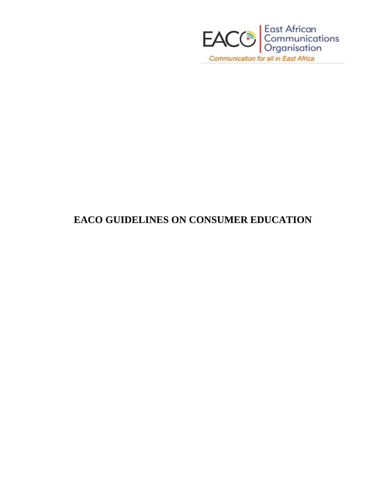

## **EACO GUIDELINES ON CONSUMER EDUCATION**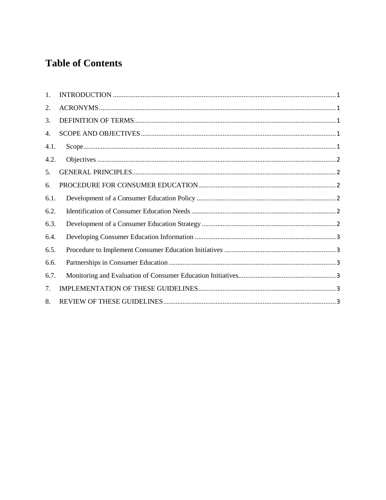# **Table of Contents**

| $\mathbf{1}$ . |  |
|----------------|--|
| 2.             |  |
| 3.             |  |
| 4.             |  |
| 4.1.           |  |
| 4.2.           |  |
| 5.             |  |
| 6.             |  |
| 6.1.           |  |
| 6.2.           |  |
| 6.3.           |  |
| 6.4.           |  |
| 6.5.           |  |
| 6.6.           |  |
| 6.7.           |  |
| 7.             |  |
| 8.             |  |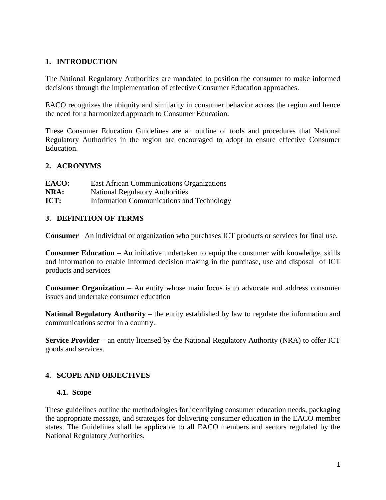## <span id="page-2-0"></span>**1. INTRODUCTION**

The National Regulatory Authorities are mandated to position the consumer to make informed decisions through the implementation of effective Consumer Education approaches.

EACO recognizes the ubiquity and similarity in consumer behavior across the region and hence the need for a harmonized approach to Consumer Education.

These Consumer Education Guidelines are an outline of tools and procedures that National Regulatory Authorities in the region are encouraged to adopt to ensure effective Consumer Education.

#### <span id="page-2-1"></span>**2. ACRONYMS**

| EACO: | <b>East African Communications Organizations</b> |
|-------|--------------------------------------------------|
| NRA:  | <b>National Regulatory Authorities</b>           |
| ICT:  | <b>Information Communications and Technology</b> |

## <span id="page-2-2"></span>**3. DEFINITION OF TERMS**

**Consumer** –An individual or organization who purchases ICT products or services for final use.

**Consumer Education** – An initiative undertaken to equip the consumer with knowledge, skills and information to enable informed decision making in the purchase, use and disposal of ICT products and services

**Consumer Organization** – An entity whose main focus is to advocate and address consumer issues and undertake consumer education

**National Regulatory Authority** – the entity established by law to regulate the information and communications sector in a country.

**Service Provider** – an entity licensed by the National Regulatory Authority (NRA) to offer ICT goods and services.

## <span id="page-2-3"></span>**4. SCOPE AND OBJECTIVES**

#### <span id="page-2-4"></span>**4.1. Scope**

These guidelines outline the methodologies for identifying consumer education needs, packaging the appropriate message, and strategies for delivering consumer education in the EACO member states. The Guidelines shall be applicable to all EACO members and sectors regulated by the National Regulatory Authorities.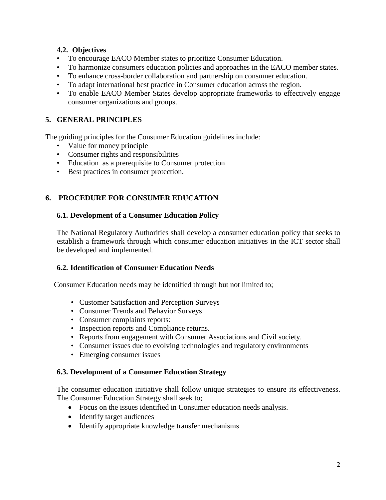## <span id="page-3-0"></span>**4.2. Objectives**

- To encourage EACO Member states to prioritize Consumer Education.
- To harmonize consumers education policies and approaches in the EACO member states.
- To enhance cross-border collaboration and partnership on consumer education.
- To adapt international best practice in Consumer education across the region.
- To enable EACO Member States develop appropriate frameworks to effectively engage consumer organizations and groups.

## <span id="page-3-1"></span>**5. GENERAL PRINCIPLES**

The guiding principles for the Consumer Education guidelines include:

- Value for money principle
- Consumer rights and responsibilities
- Education as a prerequisite to Consumer protection
- Best practices in consumer protection.

## <span id="page-3-2"></span>**6. PROCEDURE FOR CONSUMER EDUCATION**

## <span id="page-3-3"></span>**6.1. Development of a Consumer Education Policy**

The National Regulatory Authorities shall develop a consumer education policy that seeks to establish a framework through which consumer education initiatives in the ICT sector shall be developed and implemented.

## <span id="page-3-4"></span>**6.2. Identification of Consumer Education Needs**

Consumer Education needs may be identified through but not limited to;

- Customer Satisfaction and Perception Surveys
- Consumer Trends and Behavior Surveys
- Consumer complaints reports:
- Inspection reports and Compliance returns.
- Reports from engagement with Consumer Associations and Civil society.
- Consumer issues due to evolving technologies and regulatory environments
- Emerging consumer issues

## <span id="page-3-5"></span>**6.3. Development of a Consumer Education Strategy**

The consumer education initiative shall follow unique strategies to ensure its effectiveness. The Consumer Education Strategy shall seek to;

- Focus on the issues identified in Consumer education needs analysis.
- Identify target audiences
- Identify appropriate knowledge transfer mechanisms